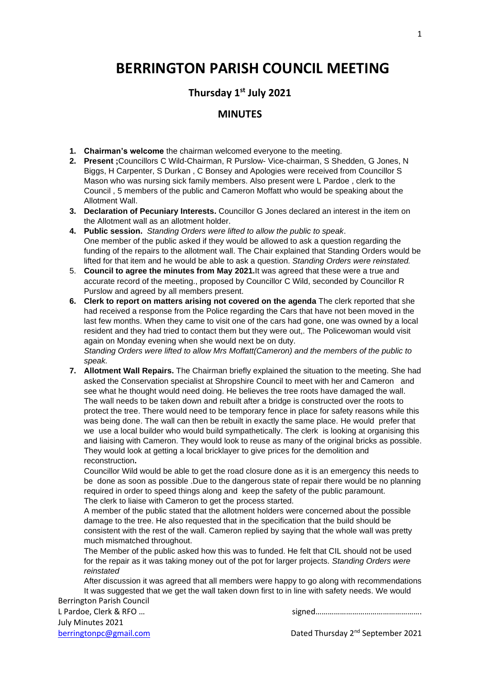# **BERRINGTON PARISH COUNCIL MEETING**

## **Thursday 1st July 2021**

### **MINUTES**

- **1. Chairman's welcome** the chairman welcomed everyone to the meeting.
- **2. Present ;**Councillors C Wild-Chairman, R Purslow- Vice-chairman, S Shedden, G Jones, N Biggs, H Carpenter, S Durkan , C Bonsey and Apologies were received from Councillor S Mason who was nursing sick family members. Also present were L Pardoe , clerk to the Council , 5 members of the public and Cameron Moffatt who would be speaking about the Allotment Wall.
- **3. Declaration of Pecuniary Interests.** Councillor G Jones declared an interest in the item on the Allotment wall as an allotment holder.
- **4. Public session.** *Standing Orders were lifted to allow the public to speak*. One member of the public asked if they would be allowed to ask a question regarding the funding of the repairs to the allotment wall. The Chair explained that Standing Orders would be lifted for that item and he would be able to ask a question. *Standing Orders were reinstated.*
- 5. **Council to agree the minutes from May 2021.**It was agreed that these were a true and accurate record of the meeting., proposed by Councillor C Wild, seconded by Councillor R Purslow and agreed by all members present.
- **6. Clerk to report on matters arising not covered on the agenda** The clerk reported that she had received a response from the Police regarding the Cars that have not been moved in the last few months. When they came to visit one of the cars had gone, one was owned by a local resident and they had tried to contact them but they were out,. The Policewoman would visit again on Monday evening when she would next be on duty.

*Standing Orders were lifted to allow Mrs Moffatt(Cameron) and the members of the public to speak.*

**7. Allotment Wall Repairs.** The Chairman briefly explained the situation to the meeting. She had asked the Conservation specialist at Shropshire Council to meet with her and Cameron and see what he thought would need doing. He believes the tree roots have damaged the wall. The wall needs to be taken down and rebuilt after a bridge is constructed over the roots to protect the tree. There would need to be temporary fence in place for safety reasons while this was being done. The wall can then be rebuilt in exactly the same place. He would prefer that we use a local builder who would build sympathetically. The clerk is looking at organising this and liaising with Cameron. They would look to reuse as many of the original bricks as possible. They would look at getting a local bricklayer to give prices for the demolition and reconstruction**.**

Councillor Wild would be able to get the road closure done as it is an emergency this needs to be done as soon as possible .Due to the dangerous state of repair there would be no planning required in order to speed things along and keep the safety of the public paramount. The clerk to liaise with Cameron to get the process started.

A member of the public stated that the allotment holders were concerned about the possible damage to the tree. He also requested that in the specification that the build should be consistent with the rest of the wall. Cameron replied by saying that the whole wall was pretty much mismatched throughout.

The Member of the public asked how this was to funded. He felt that CIL should not be used for the repair as it was taking money out of the pot for larger projects. *Standing Orders were reinstated*

Berrington Parish Council After discussion it was agreed that all members were happy to go along with recommendations It was suggested that we get the wall taken down first to in line with safety needs. We would

July Minutes 2021

L Pardoe, Clerk & RFO ...

1

[berringtonpc@gmail.com](mailto:berringtonpc@gmail.com) **Dated Thursday 2<sup>nd</sup> September 2021**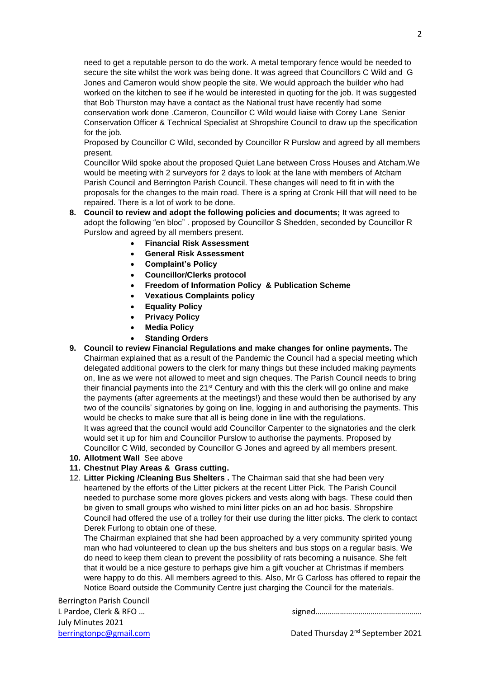need to get a reputable person to do the work. A metal temporary fence would be needed to secure the site whilst the work was being done. It was agreed that Councillors C Wild and G Jones and Cameron would show people the site. We would approach the builder who had worked on the kitchen to see if he would be interested in quoting for the job. It was suggested that Bob Thurston may have a contact as the National trust have recently had some conservation work done .Cameron, Councillor C Wild would liaise with Corey Lane Senior Conservation Officer & Technical Specialist at Shropshire Council to draw up the specification for the job.

Proposed by Councillor C Wild, seconded by Councillor R Purslow and agreed by all members present.

Councillor Wild spoke about the proposed Quiet Lane between Cross Houses and Atcham.We would be meeting with 2 surveyors for 2 days to look at the lane with members of Atcham Parish Council and Berrington Parish Council. These changes will need to fit in with the proposals for the changes to the main road. There is a spring at Cronk Hill that will need to be repaired. There is a lot of work to be done.

- **8. Council to review and adopt the following policies and documents;** It was agreed to adopt the following "en bloc" . proposed by Councillor S Shedden, seconded by Councillor R Purslow and agreed by all members present.
	- **Financial Risk Assessment**
	- **General Risk Assessment**
	- **Complaint's Policy**
	- **Councillor/Clerks protocol**
	- **Freedom of Information Policy & Publication Scheme**
	- **Vexatious Complaints policy**
	- **Equality Policy**
	- **Privacy Policy**
	- **Media Policy**
	- **Standing Orders**
- **9. Council to review Financial Regulations and make changes for online payments.** The Chairman explained that as a result of the Pandemic the Council had a special meeting which delegated additional powers to the clerk for many things but these included making payments on, line as we were not allowed to meet and sign cheques. The Parish Council needs to bring their financial payments into the 21<sup>st</sup> Century and with this the clerk will go online and make the payments (after agreements at the meetings!) and these would then be authorised by any two of the councils' signatories by going on line, logging in and authorising the payments. This would be checks to make sure that all is being done in line with the regulations. It was agreed that the council would add Councillor Carpenter to the signatories and the clerk would set it up for him and Councillor Purslow to authorise the payments. Proposed by

Councillor C Wild, seconded by Councillor G Jones and agreed by all members present.

- **10. Allotment Wall** See above
- **11. Chestnut Play Areas & Grass cutting.**
- 12. **Litter Picking /Cleaning Bus Shelters .** The Chairman said that she had been very heartened by the efforts of the Litter pickers at the recent Litter Pick. The Parish Council needed to purchase some more gloves pickers and vests along with bags. These could then be given to small groups who wished to mini litter picks on an ad hoc basis. Shropshire Council had offered the use of a trolley for their use during the litter picks. The clerk to contact Derek Furlong to obtain one of these.

The Chairman explained that she had been approached by a very community spirited young man who had volunteered to clean up the bus shelters and bus stops on a regular basis. We do need to keep them clean to prevent the possibility of rats becoming a nuisance. She felt that it would be a nice gesture to perhaps give him a gift voucher at Christmas if members were happy to do this. All members agreed to this. Also, Mr G Carloss has offered to repair the Notice Board outside the Community Centre just charging the Council for the materials.

Berrington Parish Council July Minutes 2021

L Pardoe, Clerk & RFO ...

 $\mathcal{L}$ 

[berringtonpc@gmail.com](mailto:berringtonpc@gmail.com) **Dated Thursday 2<sup>nd</sup> September 2021**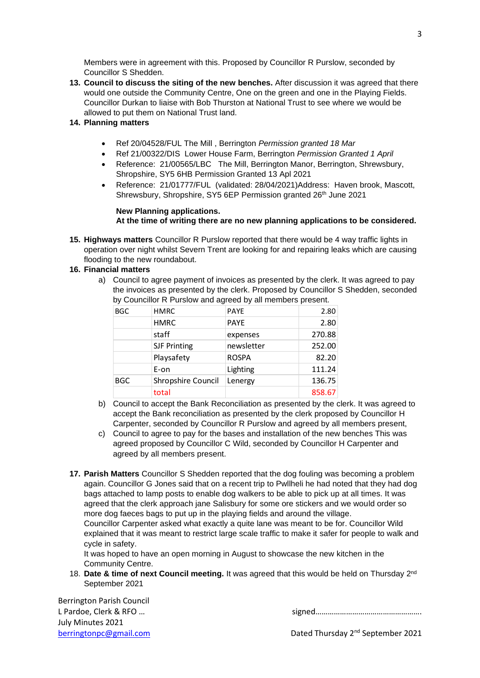Members were in agreement with this. Proposed by Councillor R Purslow, seconded by Councillor S Shedden.

- **13. Council to discuss the siting of the new benches.** After discussion it was agreed that there would one outside the Community Centre, One on the green and one in the Playing Fields. Councillor Durkan to liaise with Bob Thurston at National Trust to see where we would be allowed to put them on National Trust land.
- **14. Planning matters**
	- Ref 20/04528/FUL The Mill , Berrington *Permission granted 18 Mar*
	- Ref 21/00322/DIS Lower House Farm, Berrington *Permission Granted 1 April*
	- Reference: 21/00565/LBC The Mill, Berrington Manor, Berrington, Shrewsbury, Shropshire, SY5 6HB Permission Granted 13 Apl 2021
	- Reference: 21/01777/FUL (validated: 28/04/2021)Address: Haven brook, Mascott, Shrewsbury, Shropshire, SY5 6EP Permission granted 26<sup>th</sup> June 2021

#### **New Planning applications. At the time of writing there are no new planning applications to be considered.**

**15. Highways matters** Councillor R Purslow reported that there would be 4 way traffic lights in operation over night whilst Severn Trent are looking for and repairing leaks which are causing flooding to the new roundabout.

#### **16. Financial matters**

a) Council to agree payment of invoices as presented by the clerk. It was agreed to pay the invoices as presented by the clerk. Proposed by Councillor S Shedden, seconded by Councillor R Purslow and agreed by all members present.

| <b>BGC</b> | <b>HMRC</b>         | <b>PAYE</b>  | 2.80   |
|------------|---------------------|--------------|--------|
|            | <b>HMRC</b>         | <b>PAYE</b>  | 2.80   |
|            | staff               | expenses     | 270.88 |
|            | <b>SJF Printing</b> | newsletter   | 252.00 |
|            | Playsafety          | <b>ROSPA</b> | 82.20  |
|            | E-on                | Lighting     | 111.24 |
| <b>BGC</b> | Shropshire Council  | Lenergy      | 136.75 |
|            | total               |              | 858.67 |

- b) Council to accept the Bank Reconciliation as presented by the clerk. It was agreed to accept the Bank reconciliation as presented by the clerk proposed by Councillor H Carpenter, seconded by Councillor R Purslow and agreed by all members present,
- c) Council to agree to pay for the bases and installation of the new benches This was agreed proposed by Councillor C Wild, seconded by Councillor H Carpenter and agreed by all members present.
- **17. Parish Matters** Councillor S Shedden reported that the dog fouling was becoming a problem again. Councillor G Jones said that on a recent trip to Pwllheli he had noted that they had dog bags attached to lamp posts to enable dog walkers to be able to pick up at all times. It was agreed that the clerk approach jane Salisbury for some ore stickers and we would order so more dog faeces bags to put up in the playing fields and around the village.

Councillor Carpenter asked what exactly a quite lane was meant to be for. Councillor Wild explained that it was meant to restrict large scale traffic to make it safer for people to walk and cycle in safety.

It was hoped to have an open morning in August to showcase the new kitchen in the Community Centre.

18. Date & time of next Council meeting. It was agreed that this would be held on Thursday 2<sup>nd</sup> September 2021

Berrington Parish Council July Minutes 2021

L Pardoe, Clerk & RFO ...

[berringtonpc@gmail.com](mailto:berringtonpc@gmail.com) **Dated Thursday 2<sup>nd</sup> September 2021**